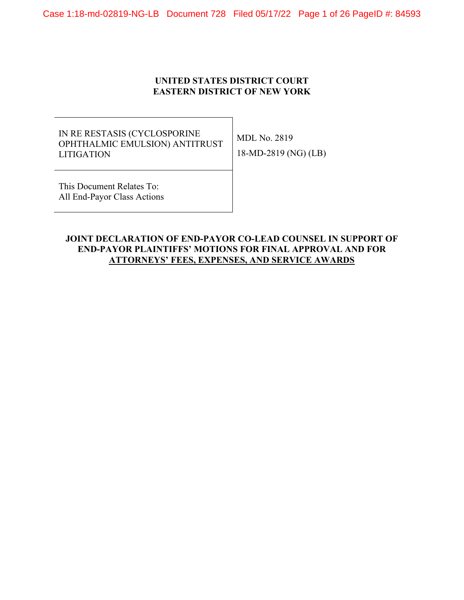### **UNITED STATES DISTRICT COURT EASTERN DISTRICT OF NEW YORK**

# IN RE RESTASIS (CYCLOSPORINE OPHTHALMIC EMULSION) ANTITRUST LITIGATION

MDL No. 2819 18-MD-2819 (NG) (LB)

This Document Relates To: All End-Payor Class Actions

### **JOINT DECLARATION OF END-PAYOR CO-LEAD COUNSEL IN SUPPORT OF END-PAYOR PLAINTIFFS' MOTIONS FOR FINAL APPROVAL AND FOR ATTORNEYS' FEES, EXPENSES, AND SERVICE AWARDS**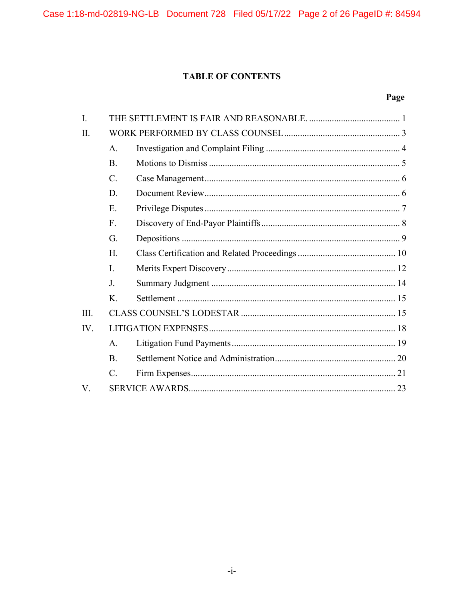# **TABLE OF CONTENTS**

# Page

| $\mathbf{I}$ . |                 |  |  |
|----------------|-----------------|--|--|
| II.            |                 |  |  |
|                | A.              |  |  |
|                | B.              |  |  |
|                | $\mathcal{C}$ . |  |  |
|                | D.              |  |  |
|                | E.              |  |  |
|                | F.              |  |  |
|                | G.              |  |  |
|                | H.              |  |  |
|                | I.              |  |  |
|                | J <sub>r</sub>  |  |  |
|                | K.              |  |  |
| III.           |                 |  |  |
| IV.            |                 |  |  |
|                | A.              |  |  |
|                | B.              |  |  |
|                | C.              |  |  |
| $V_{\cdot}$    |                 |  |  |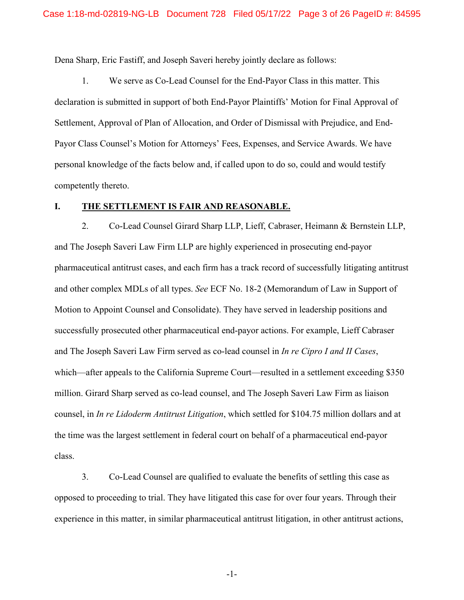Dena Sharp, Eric Fastiff, and Joseph Saveri hereby jointly declare as follows:

1. We serve as Co-Lead Counsel for the End-Payor Class in this matter. This declaration is submitted in support of both End-Payor Plaintiffs' Motion for Final Approval of Settlement, Approval of Plan of Allocation, and Order of Dismissal with Prejudice, and End-Payor Class Counsel's Motion for Attorneys' Fees, Expenses, and Service Awards. We have personal knowledge of the facts below and, if called upon to do so, could and would testify competently thereto.

#### **I. THE SETTLEMENT IS FAIR AND REASONABLE.**

2. Co-Lead Counsel Girard Sharp LLP, Lieff, Cabraser, Heimann & Bernstein LLP, and The Joseph Saveri Law Firm LLP are highly experienced in prosecuting end-payor pharmaceutical antitrust cases, and each firm has a track record of successfully litigating antitrust and other complex MDLs of all types. *See* ECF No. 18-2 (Memorandum of Law in Support of Motion to Appoint Counsel and Consolidate). They have served in leadership positions and successfully prosecuted other pharmaceutical end-payor actions. For example, Lieff Cabraser and The Joseph Saveri Law Firm served as co-lead counsel in *In re Cipro I and II Cases*, which—after appeals to the California Supreme Court—resulted in a settlement exceeding \$350 million. Girard Sharp served as co-lead counsel, and The Joseph Saveri Law Firm as liaison counsel, in *In re Lidoderm Antitrust Litigation*, which settled for \$104.75 million dollars and at the time was the largest settlement in federal court on behalf of a pharmaceutical end-payor class.

3. Co-Lead Counsel are qualified to evaluate the benefits of settling this case as opposed to proceeding to trial. They have litigated this case for over four years. Through their experience in this matter, in similar pharmaceutical antitrust litigation, in other antitrust actions,

-1-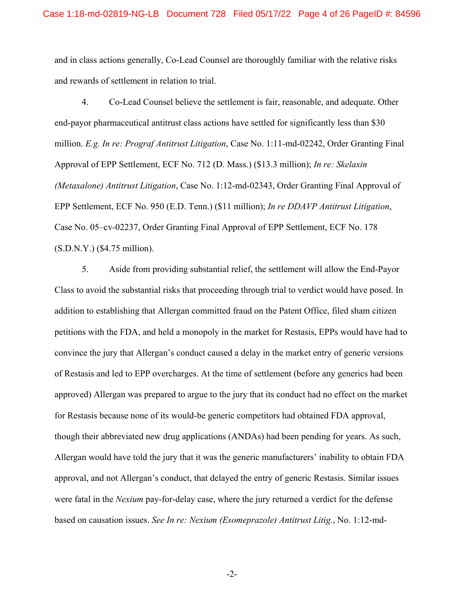and in class actions generally, Co-Lead Counsel are thoroughly familiar with the relative risks and rewards of settlement in relation to trial.

4. Co-Lead Counsel believe the settlement is fair, reasonable, and adequate. Other end-payor pharmaceutical antitrust class actions have settled for significantly less than \$30 million. *E.g. In re: Prograf Antitrust Litigation*, Case No. 1:11-md-02242, Order Granting Final Approval of EPP Settlement, ECF No. 712 (D. Mass.) (\$13.3 million); *In re: Skelaxin (Metaxalone) Antitrust Litigation*, Case No. 1:12-md-02343, Order Granting Final Approval of EPP Settlement, ECF No. 950 (E.D. Tenn.) (\$11 million); *In re DDAVP Antitrust Litigation*, Case No. 05–cv-02237, Order Granting Final Approval of EPP Settlement, ECF No. 178 (S.D.N.Y.) (\$4.75 million).

5. Aside from providing substantial relief, the settlement will allow the End-Payor Class to avoid the substantial risks that proceeding through trial to verdict would have posed. In addition to establishing that Allergan committed fraud on the Patent Office, filed sham citizen petitions with the FDA, and held a monopoly in the market for Restasis, EPPs would have had to convince the jury that Allergan's conduct caused a delay in the market entry of generic versions of Restasis and led to EPP overcharges. At the time of settlement (before any generics had been approved) Allergan was prepared to argue to the jury that its conduct had no effect on the market for Restasis because none of its would-be generic competitors had obtained FDA approval, though their abbreviated new drug applications (ANDAs) had been pending for years. As such, Allergan would have told the jury that it was the generic manufacturers' inability to obtain FDA approval, and not Allergan's conduct, that delayed the entry of generic Restasis. Similar issues were fatal in the *Nexium* pay-for-delay case, where the jury returned a verdict for the defense based on causation issues. *See In re: Nexium (Esomeprazole) Antitrust Litig.*, No. 1:12-md-

-2-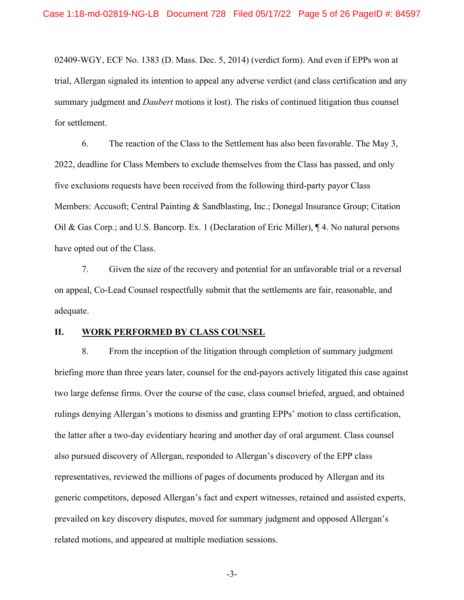02409-WGY, ECF No. 1383 (D. Mass. Dec. 5, 2014) (verdict form). And even if EPPs won at trial, Allergan signaled its intention to appeal any adverse verdict (and class certification and any summary judgment and *Daubert* motions it lost). The risks of continued litigation thus counsel for settlement.

6. The reaction of the Class to the Settlement has also been favorable. The May 3, 2022, deadline for Class Members to exclude themselves from the Class has passed, and only five exclusions requests have been received from the following third-party payor Class Members: Accusoft; Central Painting & Sandblasting, Inc.; Donegal Insurance Group; Citation Oil & Gas Corp.; and U.S. Bancorp. Ex. 1 (Declaration of Eric Miller), ¶ 4. No natural persons have opted out of the Class.

7. Given the size of the recovery and potential for an unfavorable trial or a reversal on appeal, Co-Lead Counsel respectfully submit that the settlements are fair, reasonable, and adequate.

#### **II. WORK PERFORMED BY CLASS COUNSEL**

8. From the inception of the litigation through completion of summary judgment briefing more than three years later, counsel for the end-payors actively litigated this case against two large defense firms. Over the course of the case, class counsel briefed, argued, and obtained rulings denying Allergan's motions to dismiss and granting EPPs' motion to class certification, the latter after a two-day evidentiary hearing and another day of oral argument. Class counsel also pursued discovery of Allergan, responded to Allergan's discovery of the EPP class representatives, reviewed the millions of pages of documents produced by Allergan and its generic competitors, deposed Allergan's fact and expert witnesses, retained and assisted experts, prevailed on key discovery disputes, moved for summary judgment and opposed Allergan's related motions, and appeared at multiple mediation sessions.

-3-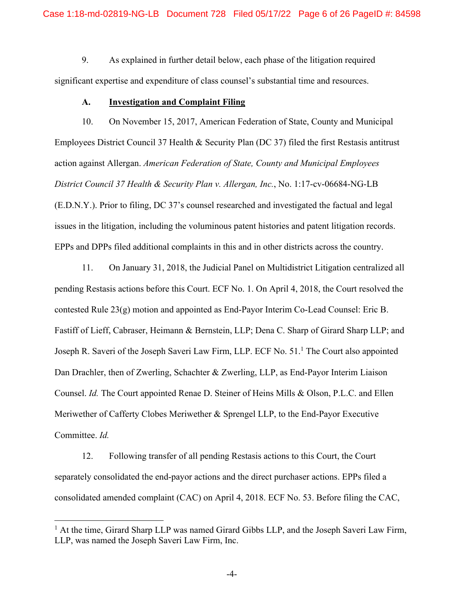9. As explained in further detail below, each phase of the litigation required significant expertise and expenditure of class counsel's substantial time and resources.

#### **A. Investigation and Complaint Filing**

10. On November 15, 2017, American Federation of State, County and Municipal Employees District Council 37 Health & Security Plan (DC 37) filed the first Restasis antitrust action against Allergan. *American Federation of State, County and Municipal Employees District Council 37 Health & Security Plan v. Allergan, Inc.*, No. 1:17-cv-06684-NG-LB (E.D.N.Y.). Prior to filing, DC 37's counsel researched and investigated the factual and legal issues in the litigation, including the voluminous patent histories and patent litigation records. EPPs and DPPs filed additional complaints in this and in other districts across the country.

11. On January 31, 2018, the Judicial Panel on Multidistrict Litigation centralized all pending Restasis actions before this Court. ECF No. 1. On April 4, 2018, the Court resolved the contested Rule 23(g) motion and appointed as End-Payor Interim Co-Lead Counsel: Eric B. Fastiff of Lieff, Cabraser, Heimann & Bernstein, LLP; Dena C. Sharp of Girard Sharp LLP; and Joseph R. Saveri of the Joseph Saveri Law Firm, LLP. ECF No. 51.<sup>1</sup> The Court also appointed Dan Drachler, then of Zwerling, Schachter & Zwerling, LLP, as End-Payor Interim Liaison Counsel. *Id.* The Court appointed Renae D. Steiner of Heins Mills & Olson, P.L.C. and Ellen Meriwether of Cafferty Clobes Meriwether & Sprengel LLP, to the End-Payor Executive Committee. *Id.*

12. Following transfer of all pending Restasis actions to this Court, the Court separately consolidated the end-payor actions and the direct purchaser actions. EPPs filed a consolidated amended complaint (CAC) on April 4, 2018. ECF No. 53. Before filing the CAC,

<sup>&</sup>lt;sup>1</sup> At the time, Girard Sharp LLP was named Girard Gibbs LLP, and the Joseph Saveri Law Firm, LLP, was named the Joseph Saveri Law Firm, Inc.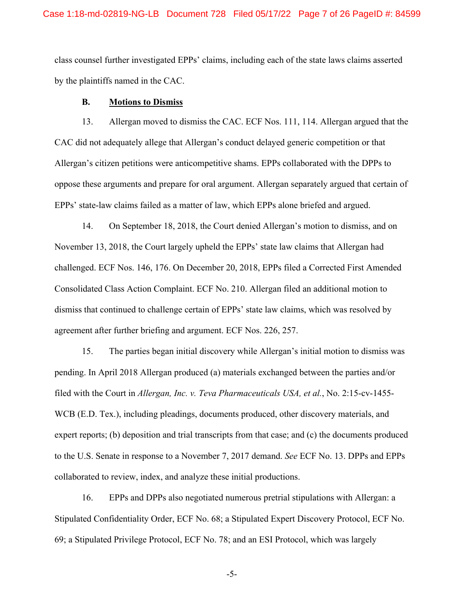class counsel further investigated EPPs' claims, including each of the state laws claims asserted by the plaintiffs named in the CAC.

#### **B. Motions to Dismiss**

13. Allergan moved to dismiss the CAC. ECF Nos. 111, 114. Allergan argued that the CAC did not adequately allege that Allergan's conduct delayed generic competition or that Allergan's citizen petitions were anticompetitive shams. EPPs collaborated with the DPPs to oppose these arguments and prepare for oral argument. Allergan separately argued that certain of EPPs' state-law claims failed as a matter of law, which EPPs alone briefed and argued.

14. On September 18, 2018, the Court denied Allergan's motion to dismiss, and on November 13, 2018, the Court largely upheld the EPPs' state law claims that Allergan had challenged. ECF Nos. 146, 176. On December 20, 2018, EPPs filed a Corrected First Amended Consolidated Class Action Complaint. ECF No. 210. Allergan filed an additional motion to dismiss that continued to challenge certain of EPPs' state law claims, which was resolved by agreement after further briefing and argument. ECF Nos. 226, 257.

15. The parties began initial discovery while Allergan's initial motion to dismiss was pending. In April 2018 Allergan produced (a) materials exchanged between the parties and/or filed with the Court in *Allergan, Inc. v. Teva Pharmaceuticals USA, et al.*, No. 2:15-cv-1455- WCB (E.D. Tex.), including pleadings, documents produced, other discovery materials, and expert reports; (b) deposition and trial transcripts from that case; and (c) the documents produced to the U.S. Senate in response to a November 7, 2017 demand. *See* ECF No. 13. DPPs and EPPs collaborated to review, index, and analyze these initial productions.

16. EPPs and DPPs also negotiated numerous pretrial stipulations with Allergan: a Stipulated Confidentiality Order, ECF No. 68; a Stipulated Expert Discovery Protocol, ECF No. 69; a Stipulated Privilege Protocol, ECF No. 78; and an ESI Protocol, which was largely

-5-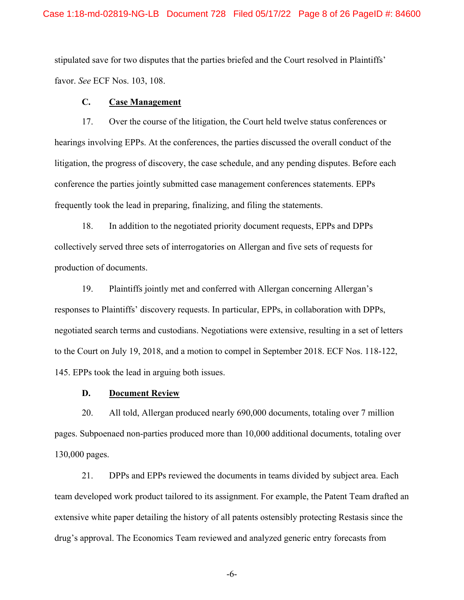stipulated save for two disputes that the parties briefed and the Court resolved in Plaintiffs' favor. *See* ECF Nos. 103, 108.

### **C. Case Management**

17. Over the course of the litigation, the Court held twelve status conferences or hearings involving EPPs. At the conferences, the parties discussed the overall conduct of the litigation, the progress of discovery, the case schedule, and any pending disputes. Before each conference the parties jointly submitted case management conferences statements. EPPs frequently took the lead in preparing, finalizing, and filing the statements.

18. In addition to the negotiated priority document requests, EPPs and DPPs collectively served three sets of interrogatories on Allergan and five sets of requests for production of documents.

19. Plaintiffs jointly met and conferred with Allergan concerning Allergan's responses to Plaintiffs' discovery requests. In particular, EPPs, in collaboration with DPPs, negotiated search terms and custodians. Negotiations were extensive, resulting in a set of letters to the Court on July 19, 2018, and a motion to compel in September 2018. ECF Nos. 118-122, 145. EPPs took the lead in arguing both issues.

### **D. Document Review**

20. All told, Allergan produced nearly 690,000 documents, totaling over 7 million pages. Subpoenaed non-parties produced more than 10,000 additional documents, totaling over 130,000 pages.

21. DPPs and EPPs reviewed the documents in teams divided by subject area. Each team developed work product tailored to its assignment. For example, the Patent Team drafted an extensive white paper detailing the history of all patents ostensibly protecting Restasis since the drug's approval. The Economics Team reviewed and analyzed generic entry forecasts from

-6-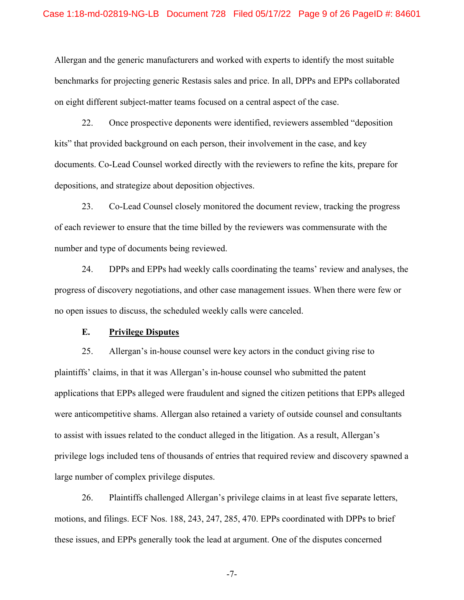Allergan and the generic manufacturers and worked with experts to identify the most suitable benchmarks for projecting generic Restasis sales and price. In all, DPPs and EPPs collaborated on eight different subject-matter teams focused on a central aspect of the case.

22. Once prospective deponents were identified, reviewers assembled "deposition kits" that provided background on each person, their involvement in the case, and key documents. Co-Lead Counsel worked directly with the reviewers to refine the kits, prepare for depositions, and strategize about deposition objectives.

23. Co-Lead Counsel closely monitored the document review, tracking the progress of each reviewer to ensure that the time billed by the reviewers was commensurate with the number and type of documents being reviewed.

24. DPPs and EPPs had weekly calls coordinating the teams' review and analyses, the progress of discovery negotiations, and other case management issues. When there were few or no open issues to discuss, the scheduled weekly calls were canceled.

#### **E. Privilege Disputes**

25. Allergan's in-house counsel were key actors in the conduct giving rise to plaintiffs' claims, in that it was Allergan's in-house counsel who submitted the patent applications that EPPs alleged were fraudulent and signed the citizen petitions that EPPs alleged were anticompetitive shams. Allergan also retained a variety of outside counsel and consultants to assist with issues related to the conduct alleged in the litigation. As a result, Allergan's privilege logs included tens of thousands of entries that required review and discovery spawned a large number of complex privilege disputes.

26. Plaintiffs challenged Allergan's privilege claims in at least five separate letters, motions, and filings. ECF Nos. 188, 243, 247, 285, 470. EPPs coordinated with DPPs to brief these issues, and EPPs generally took the lead at argument. One of the disputes concerned

-7-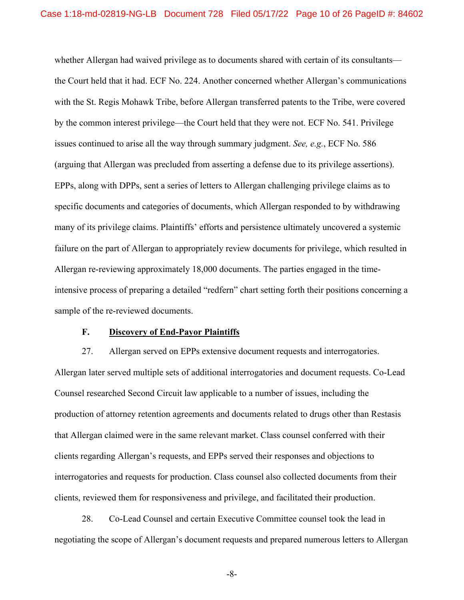whether Allergan had waived privilege as to documents shared with certain of its consultants the Court held that it had. ECF No. 224. Another concerned whether Allergan's communications with the St. Regis Mohawk Tribe, before Allergan transferred patents to the Tribe, were covered by the common interest privilege—the Court held that they were not. ECF No. 541. Privilege issues continued to arise all the way through summary judgment. *See, e.g.*, ECF No. 586 (arguing that Allergan was precluded from asserting a defense due to its privilege assertions). EPPs, along with DPPs, sent a series of letters to Allergan challenging privilege claims as to specific documents and categories of documents, which Allergan responded to by withdrawing many of its privilege claims. Plaintiffs' efforts and persistence ultimately uncovered a systemic failure on the part of Allergan to appropriately review documents for privilege, which resulted in Allergan re-reviewing approximately 18,000 documents. The parties engaged in the timeintensive process of preparing a detailed "redfern" chart setting forth their positions concerning a sample of the re-reviewed documents.

#### **F. Discovery of End-Payor Plaintiffs**

27. Allergan served on EPPs extensive document requests and interrogatories. Allergan later served multiple sets of additional interrogatories and document requests. Co-Lead Counsel researched Second Circuit law applicable to a number of issues, including the production of attorney retention agreements and documents related to drugs other than Restasis that Allergan claimed were in the same relevant market. Class counsel conferred with their clients regarding Allergan's requests, and EPPs served their responses and objections to interrogatories and requests for production. Class counsel also collected documents from their clients, reviewed them for responsiveness and privilege, and facilitated their production.

28. Co-Lead Counsel and certain Executive Committee counsel took the lead in negotiating the scope of Allergan's document requests and prepared numerous letters to Allergan

-8-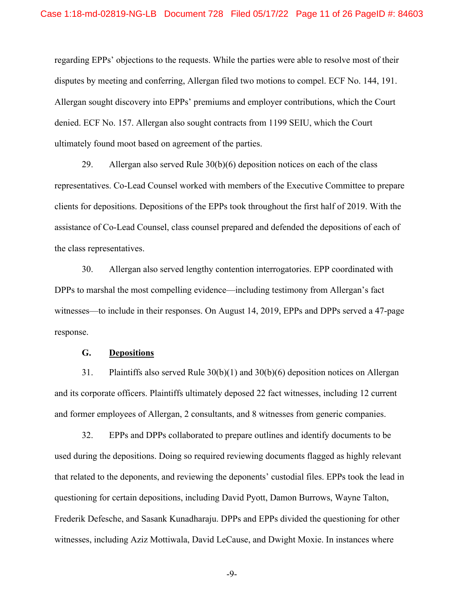regarding EPPs' objections to the requests. While the parties were able to resolve most of their disputes by meeting and conferring, Allergan filed two motions to compel. ECF No. 144, 191. Allergan sought discovery into EPPs' premiums and employer contributions, which the Court denied. ECF No. 157. Allergan also sought contracts from 1199 SEIU, which the Court ultimately found moot based on agreement of the parties.

29. Allergan also served Rule 30(b)(6) deposition notices on each of the class representatives. Co-Lead Counsel worked with members of the Executive Committee to prepare clients for depositions. Depositions of the EPPs took throughout the first half of 2019. With the assistance of Co-Lead Counsel, class counsel prepared and defended the depositions of each of the class representatives.

30. Allergan also served lengthy contention interrogatories. EPP coordinated with DPPs to marshal the most compelling evidence—including testimony from Allergan's fact witnesses—to include in their responses. On August 14, 2019, EPPs and DPPs served a 47-page response.

#### **G. Depositions**

31. Plaintiffs also served Rule 30(b)(1) and 30(b)(6) deposition notices on Allergan and its corporate officers. Plaintiffs ultimately deposed 22 fact witnesses, including 12 current and former employees of Allergan, 2 consultants, and 8 witnesses from generic companies.

32. EPPs and DPPs collaborated to prepare outlines and identify documents to be used during the depositions. Doing so required reviewing documents flagged as highly relevant that related to the deponents, and reviewing the deponents' custodial files. EPPs took the lead in questioning for certain depositions, including David Pyott, Damon Burrows, Wayne Talton, Frederik Defesche, and Sasank Kunadharaju. DPPs and EPPs divided the questioning for other witnesses, including Aziz Mottiwala, David LeCause, and Dwight Moxie. In instances where

-9-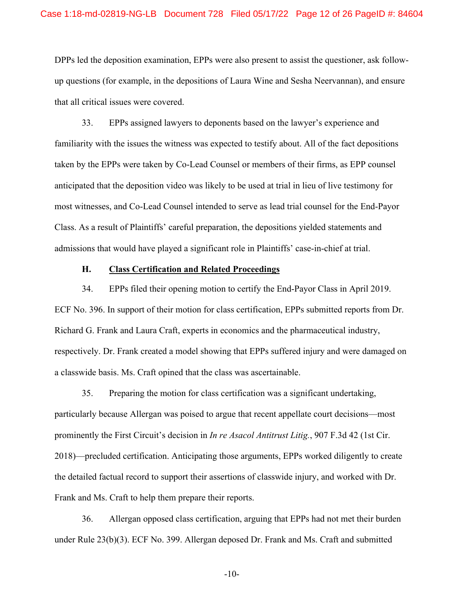DPPs led the deposition examination, EPPs were also present to assist the questioner, ask followup questions (for example, in the depositions of Laura Wine and Sesha Neervannan), and ensure that all critical issues were covered.

33. EPPs assigned lawyers to deponents based on the lawyer's experience and familiarity with the issues the witness was expected to testify about. All of the fact depositions taken by the EPPs were taken by Co-Lead Counsel or members of their firms, as EPP counsel anticipated that the deposition video was likely to be used at trial in lieu of live testimony for most witnesses, and Co-Lead Counsel intended to serve as lead trial counsel for the End-Payor Class. As a result of Plaintiffs' careful preparation, the depositions yielded statements and admissions that would have played a significant role in Plaintiffs' case-in-chief at trial.

#### **H. Class Certification and Related Proceedings**

34. EPPs filed their opening motion to certify the End-Payor Class in April 2019. ECF No. 396. In support of their motion for class certification, EPPs submitted reports from Dr. Richard G. Frank and Laura Craft, experts in economics and the pharmaceutical industry, respectively. Dr. Frank created a model showing that EPPs suffered injury and were damaged on a classwide basis. Ms. Craft opined that the class was ascertainable.

35. Preparing the motion for class certification was a significant undertaking, particularly because Allergan was poised to argue that recent appellate court decisions—most prominently the First Circuit's decision in *In re Asacol Antitrust Litig.*, 907 F.3d 42 (1st Cir. 2018)—precluded certification. Anticipating those arguments, EPPs worked diligently to create the detailed factual record to support their assertions of classwide injury, and worked with Dr. Frank and Ms. Craft to help them prepare their reports.

36. Allergan opposed class certification, arguing that EPPs had not met their burden under Rule 23(b)(3). ECF No. 399. Allergan deposed Dr. Frank and Ms. Craft and submitted

-10-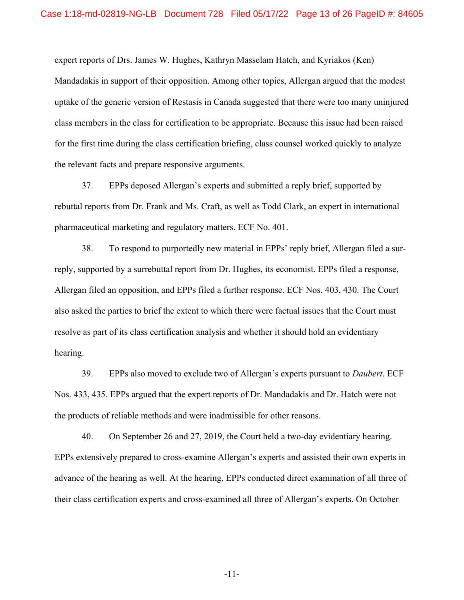expert reports of Drs. James W. Hughes, Kathryn Masselam Hatch, and Kyriakos (Ken) Mandadakis in support of their opposition. Among other topics, Allergan argued that the modest uptake of the generic version of Restasis in Canada suggested that there were too many uninjured class members in the class for certification to be appropriate. Because this issue had been raised for the first time during the class certification briefing, class counsel worked quickly to analyze the relevant facts and prepare responsive arguments.

37. EPPs deposed Allergan's experts and submitted a reply brief, supported by rebuttal reports from Dr. Frank and Ms. Craft, as well as Todd Clark, an expert in international pharmaceutical marketing and regulatory matters. ECF No. 401.

38. To respond to purportedly new material in EPPs' reply brief, Allergan filed a surreply, supported by a surrebuttal report from Dr. Hughes, its economist. EPPs filed a response, Allergan filed an opposition, and EPPs filed a further response. ECF Nos. 403, 430. The Court also asked the parties to brief the extent to which there were factual issues that the Court must resolve as part of its class certification analysis and whether it should hold an evidentiary hearing.

39. EPPs also moved to exclude two of Allergan's experts pursuant to *Daubert*. ECF Nos. 433, 435. EPPs argued that the expert reports of Dr. Mandadakis and Dr. Hatch were not the products of reliable methods and were inadmissible for other reasons.

40. On September 26 and 27, 2019, the Court held a two-day evidentiary hearing. EPPs extensively prepared to cross-examine Allergan's experts and assisted their own experts in advance of the hearing as well. At the hearing, EPPs conducted direct examination of all three of their class certification experts and cross-examined all three of Allergan's experts. On October

-11-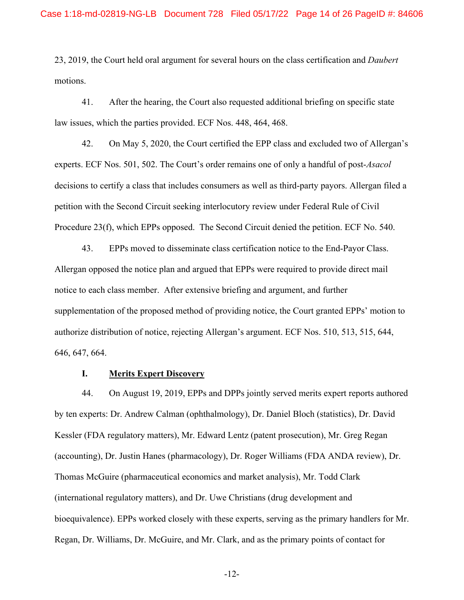23, 2019, the Court held oral argument for several hours on the class certification and *Daubert* motions.

41. After the hearing, the Court also requested additional briefing on specific state law issues, which the parties provided. ECF Nos. 448, 464, 468.

42. On May 5, 2020, the Court certified the EPP class and excluded two of Allergan's experts. ECF Nos. 501, 502. The Court's order remains one of only a handful of post-*Asacol* decisions to certify a class that includes consumers as well as third-party payors. Allergan filed a petition with the Second Circuit seeking interlocutory review under Federal Rule of Civil Procedure 23(f), which EPPs opposed. The Second Circuit denied the petition. ECF No. 540.

43. EPPs moved to disseminate class certification notice to the End-Payor Class. Allergan opposed the notice plan and argued that EPPs were required to provide direct mail notice to each class member. After extensive briefing and argument, and further supplementation of the proposed method of providing notice, the Court granted EPPs' motion to authorize distribution of notice, rejecting Allergan's argument. ECF Nos. 510, 513, 515, 644, 646, 647, 664.

### **I. Merits Expert Discovery**

44. On August 19, 2019, EPPs and DPPs jointly served merits expert reports authored by ten experts: Dr. Andrew Calman (ophthalmology), Dr. Daniel Bloch (statistics), Dr. David Kessler (FDA regulatory matters), Mr. Edward Lentz (patent prosecution), Mr. Greg Regan (accounting), Dr. Justin Hanes (pharmacology), Dr. Roger Williams (FDA ANDA review), Dr. Thomas McGuire (pharmaceutical economics and market analysis), Mr. Todd Clark (international regulatory matters), and Dr. Uwe Christians (drug development and bioequivalence). EPPs worked closely with these experts, serving as the primary handlers for Mr. Regan, Dr. Williams, Dr. McGuire, and Mr. Clark, and as the primary points of contact for

-12-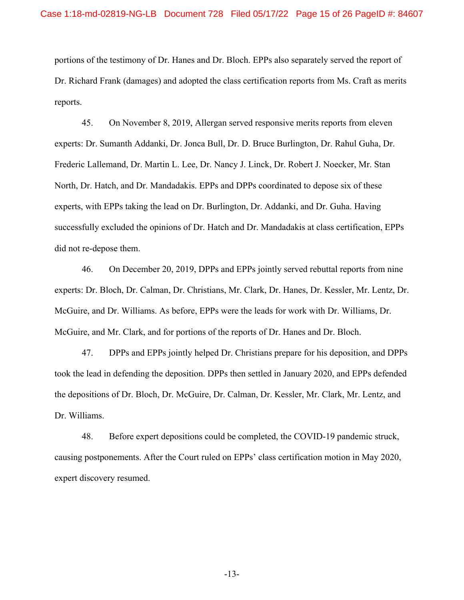portions of the testimony of Dr. Hanes and Dr. Bloch. EPPs also separately served the report of Dr. Richard Frank (damages) and adopted the class certification reports from Ms. Craft as merits reports.

45. On November 8, 2019, Allergan served responsive merits reports from eleven experts: Dr. Sumanth Addanki, Dr. Jonca Bull, Dr. D. Bruce Burlington, Dr. Rahul Guha, Dr. Frederic Lallemand, Dr. Martin L. Lee, Dr. Nancy J. Linck, Dr. Robert J. Noecker, Mr. Stan North, Dr. Hatch, and Dr. Mandadakis. EPPs and DPPs coordinated to depose six of these experts, with EPPs taking the lead on Dr. Burlington, Dr. Addanki, and Dr. Guha. Having successfully excluded the opinions of Dr. Hatch and Dr. Mandadakis at class certification, EPPs did not re-depose them.

46. On December 20, 2019, DPPs and EPPs jointly served rebuttal reports from nine experts: Dr. Bloch, Dr. Calman, Dr. Christians, Mr. Clark, Dr. Hanes, Dr. Kessler, Mr. Lentz, Dr. McGuire, and Dr. Williams. As before, EPPs were the leads for work with Dr. Williams, Dr. McGuire, and Mr. Clark, and for portions of the reports of Dr. Hanes and Dr. Bloch.

47. DPPs and EPPs jointly helped Dr. Christians prepare for his deposition, and DPPs took the lead in defending the deposition. DPPs then settled in January 2020, and EPPs defended the depositions of Dr. Bloch, Dr. McGuire, Dr. Calman, Dr. Kessler, Mr. Clark, Mr. Lentz, and Dr. Williams.

48. Before expert depositions could be completed, the COVID-19 pandemic struck, causing postponements. After the Court ruled on EPPs' class certification motion in May 2020, expert discovery resumed.

-13-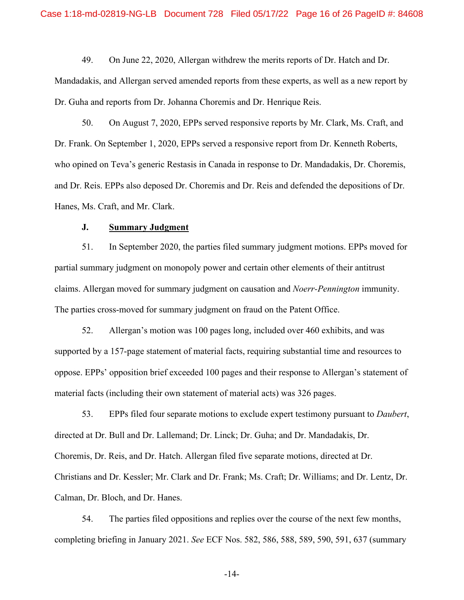49. On June 22, 2020, Allergan withdrew the merits reports of Dr. Hatch and Dr.

Mandadakis, and Allergan served amended reports from these experts, as well as a new report by Dr. Guha and reports from Dr. Johanna Choremis and Dr. Henrique Reis.

50. On August 7, 2020, EPPs served responsive reports by Mr. Clark, Ms. Craft, and Dr. Frank. On September 1, 2020, EPPs served a responsive report from Dr. Kenneth Roberts, who opined on Teva's generic Restasis in Canada in response to Dr. Mandadakis, Dr. Choremis, and Dr. Reis. EPPs also deposed Dr. Choremis and Dr. Reis and defended the depositions of Dr. Hanes, Ms. Craft, and Mr. Clark.

#### **J. Summary Judgment**

51. In September 2020, the parties filed summary judgment motions. EPPs moved for partial summary judgment on monopoly power and certain other elements of their antitrust claims. Allergan moved for summary judgment on causation and *Noerr-Pennington* immunity. The parties cross-moved for summary judgment on fraud on the Patent Office.

52. Allergan's motion was 100 pages long, included over 460 exhibits, and was supported by a 157-page statement of material facts, requiring substantial time and resources to oppose. EPPs' opposition brief exceeded 100 pages and their response to Allergan's statement of material facts (including their own statement of material acts) was 326 pages.

53. EPPs filed four separate motions to exclude expert testimony pursuant to *Daubert*, directed at Dr. Bull and Dr. Lallemand; Dr. Linck; Dr. Guha; and Dr. Mandadakis, Dr. Choremis, Dr. Reis, and Dr. Hatch. Allergan filed five separate motions, directed at Dr. Christians and Dr. Kessler; Mr. Clark and Dr. Frank; Ms. Craft; Dr. Williams; and Dr. Lentz, Dr. Calman, Dr. Bloch, and Dr. Hanes.

54. The parties filed oppositions and replies over the course of the next few months, completing briefing in January 2021. *See* ECF Nos. 582, 586, 588, 589, 590, 591, 637 (summary

-14-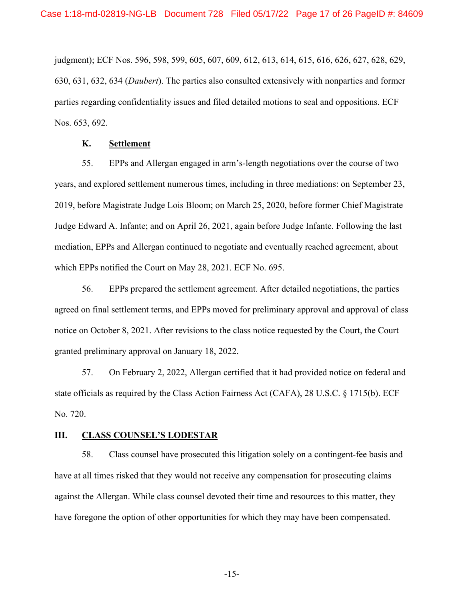judgment); ECF Nos. 596, 598, 599, 605, 607, 609, 612, 613, 614, 615, 616, 626, 627, 628, 629, 630, 631, 632, 634 (*Daubert*). The parties also consulted extensively with nonparties and former parties regarding confidentiality issues and filed detailed motions to seal and oppositions. ECF Nos. 653, 692.

### **K. Settlement**

55. EPPs and Allergan engaged in arm's-length negotiations over the course of two years, and explored settlement numerous times, including in three mediations: on September 23, 2019, before Magistrate Judge Lois Bloom; on March 25, 2020, before former Chief Magistrate Judge Edward A. Infante; and on April 26, 2021, again before Judge Infante. Following the last mediation, EPPs and Allergan continued to negotiate and eventually reached agreement, about which EPPs notified the Court on May 28, 2021. ECF No. 695.

56. EPPs prepared the settlement agreement. After detailed negotiations, the parties agreed on final settlement terms, and EPPs moved for preliminary approval and approval of class notice on October 8, 2021. After revisions to the class notice requested by the Court, the Court granted preliminary approval on January 18, 2022.

57. On February 2, 2022, Allergan certified that it had provided notice on federal and state officials as required by the Class Action Fairness Act (CAFA), 28 U.S.C. § 1715(b). ECF No. 720.

### **III. CLASS COUNSEL'S LODESTAR**

58. Class counsel have prosecuted this litigation solely on a contingent-fee basis and have at all times risked that they would not receive any compensation for prosecuting claims against the Allergan. While class counsel devoted their time and resources to this matter, they have foregone the option of other opportunities for which they may have been compensated.

-15-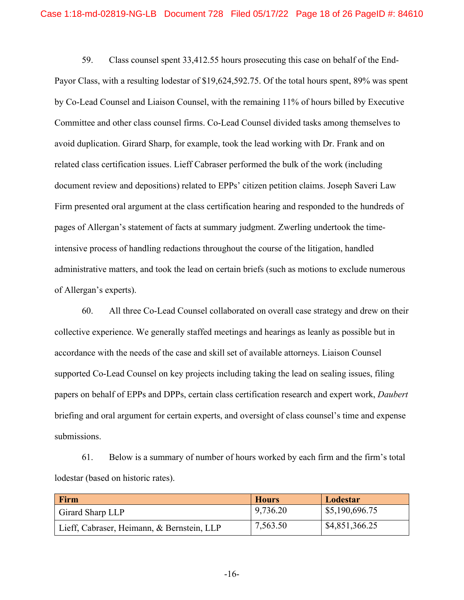59. Class counsel spent 33,412.55 hours prosecuting this case on behalf of the End-Payor Class, with a resulting lodestar of \$19,624,592.75. Of the total hours spent, 89% was spent by Co-Lead Counsel and Liaison Counsel, with the remaining 11% of hours billed by Executive Committee and other class counsel firms. Co-Lead Counsel divided tasks among themselves to avoid duplication. Girard Sharp, for example, took the lead working with Dr. Frank and on related class certification issues. Lieff Cabraser performed the bulk of the work (including document review and depositions) related to EPPs' citizen petition claims. Joseph Saveri Law Firm presented oral argument at the class certification hearing and responded to the hundreds of pages of Allergan's statement of facts at summary judgment. Zwerling undertook the timeintensive process of handling redactions throughout the course of the litigation, handled administrative matters, and took the lead on certain briefs (such as motions to exclude numerous of Allergan's experts).

60. All three Co-Lead Counsel collaborated on overall case strategy and drew on their collective experience. We generally staffed meetings and hearings as leanly as possible but in accordance with the needs of the case and skill set of available attorneys. Liaison Counsel supported Co-Lead Counsel on key projects including taking the lead on sealing issues, filing papers on behalf of EPPs and DPPs, certain class certification research and expert work, *Daubert* briefing and oral argument for certain experts, and oversight of class counsel's time and expense submissions.

61. Below is a summary of number of hours worked by each firm and the firm's total lodestar (based on historic rates).

| <b>Firm</b>                                | <b>Hours</b> | Lodestar       |
|--------------------------------------------|--------------|----------------|
| Girard Sharp LLP                           | 9,736.20     | \$5,190,696.75 |
| Lieff, Cabraser, Heimann, & Bernstein, LLP | 7,563.50     | \$4,851,366.25 |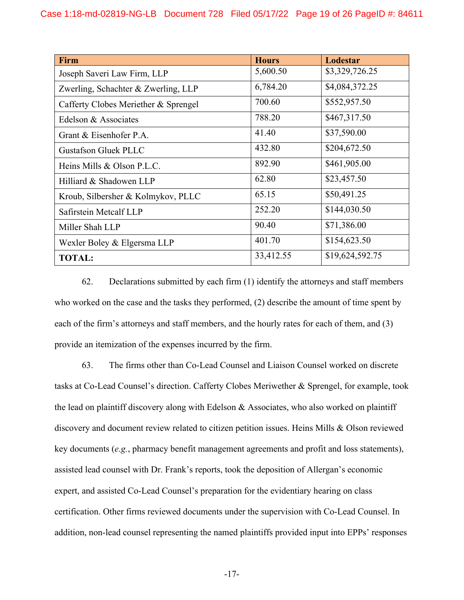| Firm                                 | <b>Hours</b> | Lodestar        |
|--------------------------------------|--------------|-----------------|
| Joseph Saveri Law Firm, LLP          | 5,600.50     | \$3,329,726.25  |
| Zwerling, Schachter & Zwerling, LLP  | 6,784.20     | \$4,084,372.25  |
| Cafferty Clobes Meriether & Sprengel | 700.60       | \$552,957.50    |
| Edelson & Associates                 | 788.20       | \$467,317.50    |
| Grant & Eisenhofer P.A.              | 41.40        | \$37,590.00     |
| <b>Gustafson Gluek PLLC</b>          | 432.80       | \$204,672.50    |
| Heins Mills & Olson P.L.C.           | 892.90       | \$461,905.00    |
| Hilliard & Shadowen LLP              | 62.80        | \$23,457.50     |
| Kroub, Silbersher & Kolmykov, PLLC   | 65.15        | \$50,491.25     |
| Safirstein Metcalf LLP               | 252.20       | \$144,030.50    |
| Miller Shah LLP                      | 90.40        | \$71,386.00     |
| Wexler Boley & Elgersma LLP          | 401.70       | \$154,623.50    |
| <b>TOTAL:</b>                        | 33,412.55    | \$19,624,592.75 |

62. Declarations submitted by each firm (1) identify the attorneys and staff members who worked on the case and the tasks they performed, (2) describe the amount of time spent by each of the firm's attorneys and staff members, and the hourly rates for each of them, and (3) provide an itemization of the expenses incurred by the firm.

63. The firms other than Co-Lead Counsel and Liaison Counsel worked on discrete tasks at Co-Lead Counsel's direction. Cafferty Clobes Meriwether & Sprengel, for example, took the lead on plaintiff discovery along with Edelson  $\&$  Associates, who also worked on plaintiff discovery and document review related to citizen petition issues. Heins Mills & Olson reviewed key documents (*e.g.*, pharmacy benefit management agreements and profit and loss statements), assisted lead counsel with Dr. Frank's reports, took the deposition of Allergan's economic expert, and assisted Co-Lead Counsel's preparation for the evidentiary hearing on class certification. Other firms reviewed documents under the supervision with Co-Lead Counsel. In addition, non-lead counsel representing the named plaintiffs provided input into EPPs' responses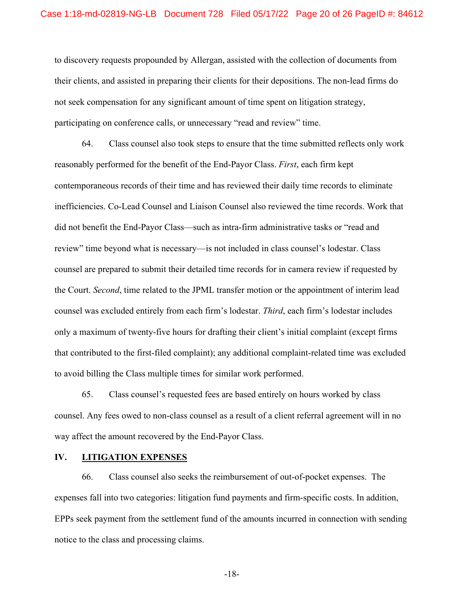to discovery requests propounded by Allergan, assisted with the collection of documents from their clients, and assisted in preparing their clients for their depositions. The non-lead firms do not seek compensation for any significant amount of time spent on litigation strategy, participating on conference calls, or unnecessary "read and review" time.

64. Class counsel also took steps to ensure that the time submitted reflects only work reasonably performed for the benefit of the End-Payor Class. *First*, each firm kept contemporaneous records of their time and has reviewed their daily time records to eliminate inefficiencies. Co-Lead Counsel and Liaison Counsel also reviewed the time records. Work that did not benefit the End-Payor Class—such as intra-firm administrative tasks or "read and review" time beyond what is necessary—is not included in class counsel's lodestar. Class counsel are prepared to submit their detailed time records for in camera review if requested by the Court. *Second*, time related to the JPML transfer motion or the appointment of interim lead counsel was excluded entirely from each firm's lodestar. *Third*, each firm's lodestar includes only a maximum of twenty-five hours for drafting their client's initial complaint (except firms that contributed to the first-filed complaint); any additional complaint-related time was excluded to avoid billing the Class multiple times for similar work performed.

65. Class counsel's requested fees are based entirely on hours worked by class counsel. Any fees owed to non-class counsel as a result of a client referral agreement will in no way affect the amount recovered by the End-Payor Class.

#### **IV. LITIGATION EXPENSES**

66. Class counsel also seeks the reimbursement of out-of-pocket expenses. The expenses fall into two categories: litigation fund payments and firm-specific costs. In addition, EPPs seek payment from the settlement fund of the amounts incurred in connection with sending notice to the class and processing claims.

-18-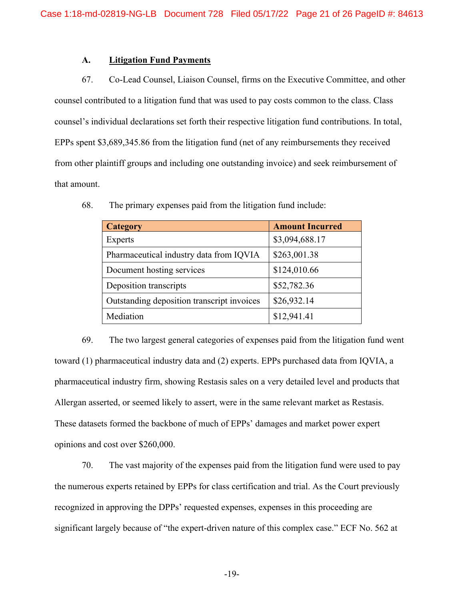#### **A. Litigation Fund Payments**

67. Co-Lead Counsel, Liaison Counsel, firms on the Executive Committee, and other counsel contributed to a litigation fund that was used to pay costs common to the class. Class counsel's individual declarations set forth their respective litigation fund contributions. In total, EPPs spent \$3,689,345.86 from the litigation fund (net of any reimbursements they received from other plaintiff groups and including one outstanding invoice) and seek reimbursement of that amount.

| <b>Category</b>                            | <b>Amount Incurred</b> |
|--------------------------------------------|------------------------|
| <b>Experts</b>                             | \$3,094,688.17         |
| Pharmaceutical industry data from IQVIA    | \$263,001.38           |
| Document hosting services                  | \$124,010.66           |
| Deposition transcripts                     | \$52,782.36            |
| Outstanding deposition transcript invoices | \$26,932.14            |
| Mediation                                  | \$12,941.41            |

68. The primary expenses paid from the litigation fund include:

69. The two largest general categories of expenses paid from the litigation fund went toward (1) pharmaceutical industry data and (2) experts. EPPs purchased data from IQVIA, a pharmaceutical industry firm, showing Restasis sales on a very detailed level and products that Allergan asserted, or seemed likely to assert, were in the same relevant market as Restasis. These datasets formed the backbone of much of EPPs' damages and market power expert opinions and cost over \$260,000.

70. The vast majority of the expenses paid from the litigation fund were used to pay the numerous experts retained by EPPs for class certification and trial. As the Court previously recognized in approving the DPPs' requested expenses, expenses in this proceeding are significant largely because of "the expert-driven nature of this complex case." ECF No. 562 at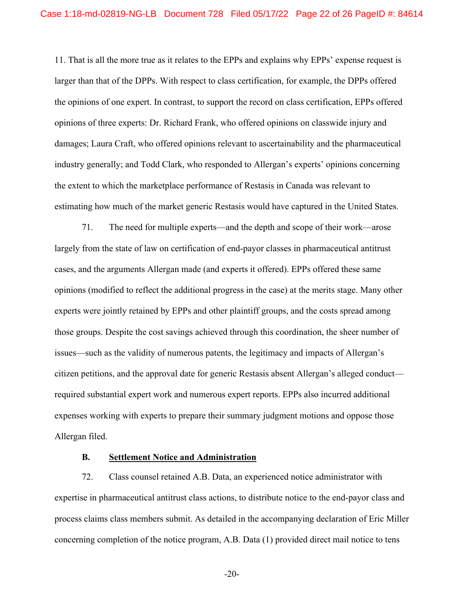11. That is all the more true as it relates to the EPPs and explains why EPPs' expense request is larger than that of the DPPs. With respect to class certification, for example, the DPPs offered the opinions of one expert. In contrast, to support the record on class certification, EPPs offered opinions of three experts: Dr. Richard Frank, who offered opinions on classwide injury and damages; Laura Craft, who offered opinions relevant to ascertainability and the pharmaceutical industry generally; and Todd Clark, who responded to Allergan's experts' opinions concerning the extent to which the marketplace performance of Restasis in Canada was relevant to estimating how much of the market generic Restasis would have captured in the United States.

71. The need for multiple experts—and the depth and scope of their work—arose largely from the state of law on certification of end-payor classes in pharmaceutical antitrust cases, and the arguments Allergan made (and experts it offered). EPPs offered these same opinions (modified to reflect the additional progress in the case) at the merits stage. Many other experts were jointly retained by EPPs and other plaintiff groups, and the costs spread among those groups. Despite the cost savings achieved through this coordination, the sheer number of issues—such as the validity of numerous patents, the legitimacy and impacts of Allergan's citizen petitions, and the approval date for generic Restasis absent Allergan's alleged conduct required substantial expert work and numerous expert reports. EPPs also incurred additional expenses working with experts to prepare their summary judgment motions and oppose those Allergan filed.

#### **B. Settlement Notice and Administration**

72. Class counsel retained A.B. Data, an experienced notice administrator with expertise in pharmaceutical antitrust class actions, to distribute notice to the end-payor class and process claims class members submit. As detailed in the accompanying declaration of Eric Miller concerning completion of the notice program, A.B. Data (1) provided direct mail notice to tens

-20-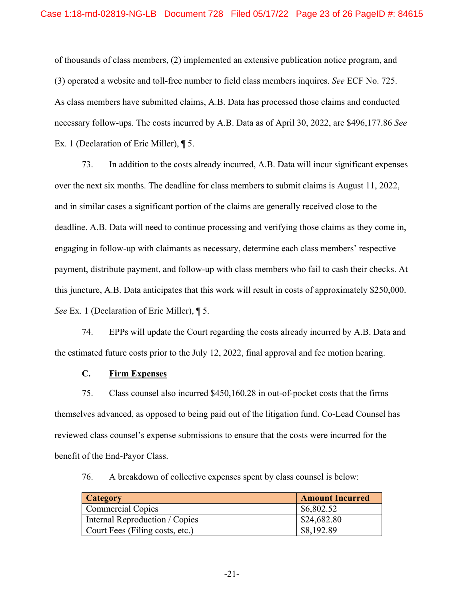of thousands of class members, (2) implemented an extensive publication notice program, and (3) operated a website and toll-free number to field class members inquires. *See* ECF No. 725. As class members have submitted claims, A.B. Data has processed those claims and conducted necessary follow-ups. The costs incurred by A.B. Data as of April 30, 2022, are \$496,177.86 *See*  Ex. 1 (Declaration of Eric Miller), ¶ 5.

73. In addition to the costs already incurred, A.B. Data will incur significant expenses over the next six months. The deadline for class members to submit claims is August 11, 2022, and in similar cases a significant portion of the claims are generally received close to the deadline. A.B. Data will need to continue processing and verifying those claims as they come in, engaging in follow-up with claimants as necessary, determine each class members' respective payment, distribute payment, and follow-up with class members who fail to cash their checks. At this juncture, A.B. Data anticipates that this work will result in costs of approximately \$250,000. *See* Ex. 1 (Declaration of Eric Miller), ¶ 5.

74. EPPs will update the Court regarding the costs already incurred by A.B. Data and the estimated future costs prior to the July 12, 2022, final approval and fee motion hearing.

### **C. Firm Expenses**

75. Class counsel also incurred \$450,160.28 in out-of-pocket costs that the firms themselves advanced, as opposed to being paid out of the litigation fund. Co-Lead Counsel has reviewed class counsel's expense submissions to ensure that the costs were incurred for the benefit of the End-Payor Class.

76. A breakdown of collective expenses spent by class counsel is below:

| <b>Category</b>                 | <b>Amount Incurred</b> |
|---------------------------------|------------------------|
| <b>Commercial Copies</b>        | \$6,802.52             |
| Internal Reproduction / Copies  | \$24,682.80            |
| Court Fees (Filing costs, etc.) | \$8,192.89             |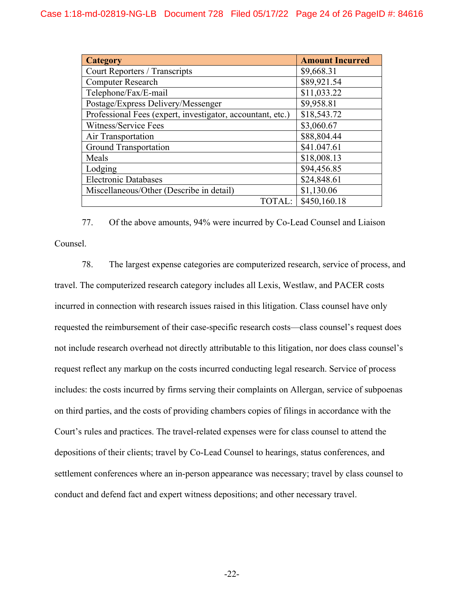| <b>Category</b>                                            | <b>Amount Incurred</b> |
|------------------------------------------------------------|------------------------|
| Court Reporters / Transcripts                              | \$9,668.31             |
| <b>Computer Research</b>                                   | \$89,921.54            |
| Telephone/Fax/E-mail                                       | \$11,033.22            |
| Postage/Express Delivery/Messenger                         | \$9,958.81             |
| Professional Fees (expert, investigator, accountant, etc.) | \$18,543.72            |
| Witness/Service Fees                                       | \$3,060.67             |
| Air Transportation                                         | \$88,804.44            |
| <b>Ground Transportation</b>                               | \$41.047.61            |
| Meals                                                      | \$18,008.13            |
| Lodging                                                    | \$94,456.85            |
| <b>Electronic Databases</b>                                | \$24,848.61            |
| Miscellaneous/Other (Describe in detail)                   | \$1,130.06             |
| TOTAL:                                                     | \$450,160.18           |

77. Of the above amounts, 94% were incurred by Co-Lead Counsel and Liaison Counsel.

78. The largest expense categories are computerized research, service of process, and travel. The computerized research category includes all Lexis, Westlaw, and PACER costs incurred in connection with research issues raised in this litigation. Class counsel have only requested the reimbursement of their case-specific research costs—class counsel's request does not include research overhead not directly attributable to this litigation, nor does class counsel's request reflect any markup on the costs incurred conducting legal research. Service of process includes: the costs incurred by firms serving their complaints on Allergan, service of subpoenas on third parties, and the costs of providing chambers copies of filings in accordance with the Court's rules and practices. The travel-related expenses were for class counsel to attend the depositions of their clients; travel by Co-Lead Counsel to hearings, status conferences, and settlement conferences where an in-person appearance was necessary; travel by class counsel to conduct and defend fact and expert witness depositions; and other necessary travel.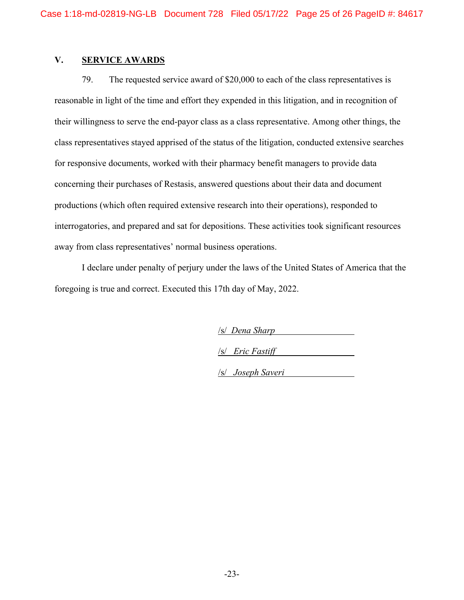# **V. SERVICE AWARDS**

79. The requested service award of \$20,000 to each of the class representatives is reasonable in light of the time and effort they expended in this litigation, and in recognition of their willingness to serve the end-payor class as a class representative. Among other things, the class representatives stayed apprised of the status of the litigation, conducted extensive searches for responsive documents, worked with their pharmacy benefit managers to provide data concerning their purchases of Restasis, answered questions about their data and document productions (which often required extensive research into their operations), responded to interrogatories, and prepared and sat for depositions. These activities took significant resources away from class representatives' normal business operations.

I declare under penalty of perjury under the laws of the United States of America that the foregoing is true and correct. Executed this 17th day of May, 2022.

/s/ *Dena Sharp*

/s/ *Eric Fastiff*

/s/ *Joseph Saveri*